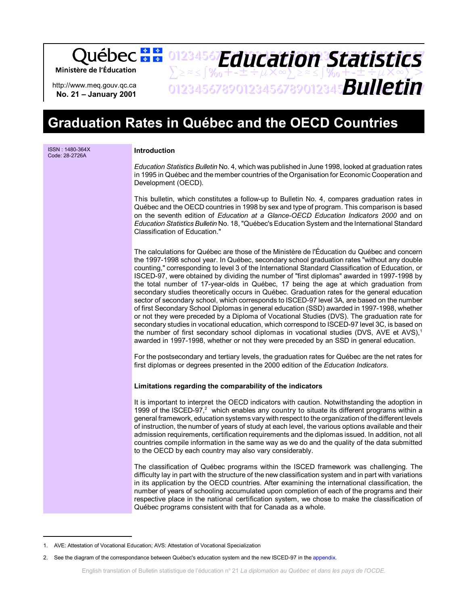01234567Fducation Statistice *Education Statistics* Ministère de l'Éducation  $\sum z \approx \int \mathcal{Y}_{0} + t + \pm \div \mu \times \infty$  $\sum z \approx \int \mathcal{Y}_{0} + t + \pm \div \mu \times \infty$  $\sum >$ 

http://www.meq.gouv.qc.ca **No. 21 – January 2001**

01234567890123456789012345678901234567 *Bulletin*

# **Graduation Rates in Québec and the OECD Countries**

| ISSN: 1480-364X<br>Code: 28-2726A | Introduction                                                                                                                                                                                                                                                                                                                                                                                                                                                                                                                                                                                                                                                                                                                                                                                                                                                                                                                                                                                                                                                                                                                                                                                                                                                                               |
|-----------------------------------|--------------------------------------------------------------------------------------------------------------------------------------------------------------------------------------------------------------------------------------------------------------------------------------------------------------------------------------------------------------------------------------------------------------------------------------------------------------------------------------------------------------------------------------------------------------------------------------------------------------------------------------------------------------------------------------------------------------------------------------------------------------------------------------------------------------------------------------------------------------------------------------------------------------------------------------------------------------------------------------------------------------------------------------------------------------------------------------------------------------------------------------------------------------------------------------------------------------------------------------------------------------------------------------------|
|                                   | Education Statistics Bulletin No. 4, which was published in June 1998, looked at graduation rates<br>in 1995 in Québec and the member countries of the Organisation for Economic Cooperation and<br>Development (OECD).                                                                                                                                                                                                                                                                                                                                                                                                                                                                                                                                                                                                                                                                                                                                                                                                                                                                                                                                                                                                                                                                    |
|                                   | This bulletin, which constitutes a follow-up to Bulletin No. 4, compares graduation rates in<br>Québec and the OECD countries in 1998 by sex and type of program. This comparison is based<br>on the seventh edition of Education at a Glance-OECD Education Indicators 2000 and on<br>Education Statistics Bulletin No. 18, "Québec's Education System and the International Standard<br>Classification of Education."                                                                                                                                                                                                                                                                                                                                                                                                                                                                                                                                                                                                                                                                                                                                                                                                                                                                    |
|                                   | The calculations for Québec are those of the Ministère de l'Éducation du Québec and concern<br>the 1997-1998 school year. In Québec, secondary school graduation rates "without any double<br>counting," corresponding to level 3 of the International Standard Classification of Education, or<br>ISCED-97, were obtained by dividing the number of "first diplomas" awarded in 1997-1998 by<br>the total number of 17-year-olds in Québec, 17 being the age at which graduation from<br>secondary studies theoretically occurs in Québec. Graduation rates for the general education<br>sector of secondary school, which corresponds to ISCED-97 level 3A, are based on the number<br>of first Secondary School Diplomas in general education (SSD) awarded in 1997-1998, whether<br>or not they were preceded by a Diploma of Vocational Studies (DVS). The graduation rate for<br>secondary studies in vocational education, which correspond to ISCED-97 level 3C, is based on<br>the number of first secondary school diplomas in vocational studies (DVS, AVE et AVS), <sup>1</sup><br>awarded in 1997-1998, whether or not they were preceded by an SSD in general education.<br>For the postsecondary and tertiary levels, the graduation rates for Québec are the net rates for |
|                                   | first diplomas or degrees presented in the 2000 edition of the Education Indicators.                                                                                                                                                                                                                                                                                                                                                                                                                                                                                                                                                                                                                                                                                                                                                                                                                                                                                                                                                                                                                                                                                                                                                                                                       |
|                                   | Limitations regarding the comparability of the indicators                                                                                                                                                                                                                                                                                                                                                                                                                                                                                                                                                                                                                                                                                                                                                                                                                                                                                                                                                                                                                                                                                                                                                                                                                                  |
|                                   | It is important to interpret the OECD indicators with caution. Notwithstanding the adoption in<br>1999 of the ISCED-97, $^2$ which enables any country to situate its different programs within a<br>general framework, education systems vary with respect to the organization of the different levels<br>of instruction, the number of years of study at each level, the various options available and their<br>admission requirements, certification requirements and the diplomas issued. In addition, not all<br>countries compile information in the same way as we do and the quality of the data submitted<br>to the OECD by each country may also vary considerably.                                                                                                                                                                                                                                                                                                                                                                                                                                                                                                                                                                                                              |
|                                   | The classification of Québec programs within the ISCED framework was challenging. The<br>difficulty lay in part with the structure of the new classification system and in part with variations<br>in its application by the OECD countries. After examining the international classification, the<br>number of years of schooling accumulated upon completion of each of the programs and their<br>respective place in the national certification system, we chose to make the classification of<br>Québec programs consistent with that for Canada as a whole.                                                                                                                                                                                                                                                                                                                                                                                                                                                                                                                                                                                                                                                                                                                           |

<sup>1.</sup> AVE: Attestation of Vocational Education; AVS: Attestation of Vocational Specialization

<sup>2.</sup> See the diagram of the correspondance between Québec's education system and the new ISCED-97 in th[e appendix.](#page-9-0)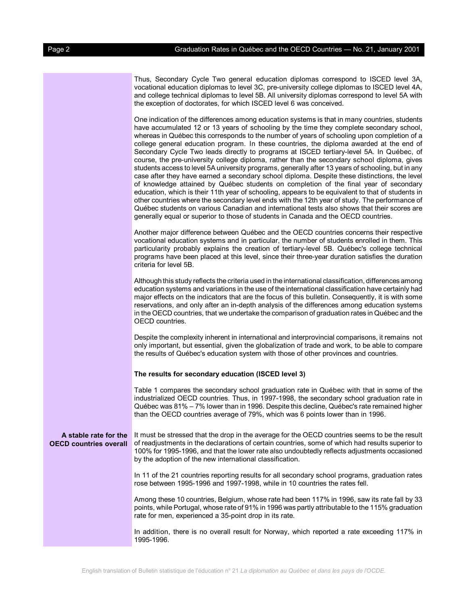Thus, Secondary Cycle Two general education diplomas correspond to ISCED level 3A, vocational education diplomas to level 3C, pre-university college diplomas to ISCED level 4A, and college technical diplomas to level 5B. All university diplomas correspond to level 5A with the exception of doctorates, for which ISCED level 6 was conceived.

One indication of the differences among education systems is that in many countries, students have accumulated 12 or 13 years of schooling by the time they complete secondary school, whereas in Québec this corresponds to the number of years of schooling upon completion of a college general education program. In these countries, the diploma awarded at the end of Secondary Cycle Two leads directly to programs at ISCED tertiary-level 5A. In Québec, of course, the pre-university college diploma, rather than the secondary school diploma, gives students access to level 5A university programs, generally after 13 years of schooling, but in any case after they have earned a secondary school diploma. Despite these distinctions, the level of knowledge attained by Québec students on completion of the final year of secondary education, which is their 11th year of schooling, appears to be equivalent to that of students in other countries where the secondary level ends with the 12th year of study. The performance of Québec students on various Canadian and international tests also shows that their scores are generally equal or superior to those of students in Canada and the OECD countries.

Another major difference between Québec and the OECD countries concerns their respective vocational education systems and in particular, the number of students enrolled in them. This particularity probably explains the creation of tertiary-level 5B. Québec's college technical programs have been placed at this level, since their three-year duration satisfies the duration criteria for level 5B.

Although this study reflects the criteria used in the international classification, differences among education systems and variations in the use of the international classification have certainly had major effects on the indicators that are the focus of this bulletin. Consequently, it is with some reservations, and only after an in-depth analysis of the differences among education systems in the OECD countries, that we undertake the comparison of graduation rates in Québec and the OECD countries.

Despite the complexity inherent in international and interprovincial comparisons, it remains not only important, but essential, given the globalization of trade and work, to be able to compare the results of Québec's education system with those of other provinces and countries.

#### **The results for secondary education (ISCED level 3)**

Table 1 compares the secondary school graduation rate in Québec with that in some of the industrialized OECD countries. Thus, in 1997-1998, the secondary school graduation rate in Québec was 81% – 7% lower than in 1996. Despite this decline, Québec's rate remained higher than the OECD countries average of 79%, which was 6 points lower than in 1996.

**A stable rate for the OECD countries overall** It must be stressed that the drop in the average for the OECD countries seems to be the result of readjustments in the declarations of certain countries, some of which had results superior to 100% for 1995-1996, and that the lower rate also undoubtedly reflects adjustments occasioned by the adoption of the new international classification.

> In 11 of the 21 countries reporting results for all secondary school programs, graduation rates rose between 1995-1996 and 1997-1998, while in 10 countries the rates fell.

> Among these 10 countries, Belgium, whose rate had been 117% in 1996, saw its rate fall by 33 points, while Portugal, whose rate of 91% in 1996 was partly attributable to the 115% graduation rate for men, experienced a 35-point drop in its rate.

> In addition, there is no overall result for Norway, which reported a rate exceeding 117% in 1995-1996.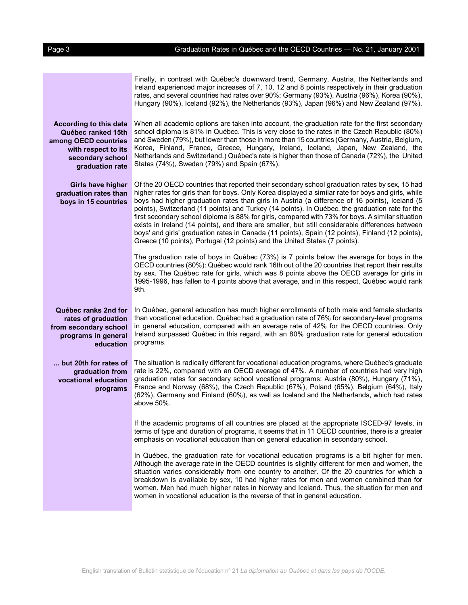# Page 3 Graduation Rates in Québec and the OECD Countries — No. 21, January 2001

|                                                                                                                                    | Finally, in contrast with Québec's downward trend, Germany, Austria, the Netherlands and<br>Ireland experienced major increases of 7, 10, 12 and 8 points respectively in their graduation<br>rates, and several countries had rates over 90%: Germany (93%), Austria (96%), Korea (90%),<br>Hungary (90%), Iceland (92%), the Netherlands (93%), Japan (96%) and New Zealand (97%).                                                                                                                                                                                                                                                                                                                                                                                                                |
|------------------------------------------------------------------------------------------------------------------------------------|-----------------------------------------------------------------------------------------------------------------------------------------------------------------------------------------------------------------------------------------------------------------------------------------------------------------------------------------------------------------------------------------------------------------------------------------------------------------------------------------------------------------------------------------------------------------------------------------------------------------------------------------------------------------------------------------------------------------------------------------------------------------------------------------------------|
| According to this data<br>Québec ranked 15th<br>among OECD countries<br>with respect to its<br>secondary school<br>graduation rate | When all academic options are taken into account, the graduation rate for the first secondary<br>school diploma is 81% in Québec. This is very close to the rates in the Czech Republic (80%)<br>and Sweden (79%), but lower than those in more than 15 countries (Germany, Austria, Belgium,<br>Korea, Finland, France, Greece, Hungary, Ireland, Iceland, Japan, New Zealand, the<br>Netherlands and Switzerland.) Québec's rate is higher than those of Canada (72%), the United<br>States (74%), Sweden (79%) and Spain (67%).                                                                                                                                                                                                                                                                  |
| <b>Girls have higher</b><br>graduation rates than<br>boys in 15 countries                                                          | Of the 20 OECD countries that reported their secondary school graduation rates by sex, 15 had<br>higher rates for girls than for boys. Only Korea displayed a similar rate for boys and girls, while<br>boys had higher graduation rates than girls in Austria (a difference of 16 points), Iceland (5<br>points), Switzerland (11 points) and Turkey (14 points). In Québec, the graduation rate for the<br>first secondary school diploma is 88% for girls, compared with 73% for boys. A similar situation<br>exists in Ireland (14 points), and there are smaller, but still considerable differences between<br>boys' and girls' graduation rates in Canada (11 points), Spain (12 points), Finland (12 points),<br>Greece (10 points), Portugal (12 points) and the United States (7 points). |
|                                                                                                                                    | The graduation rate of boys in Québec (73%) is 7 points below the average for boys in the<br>OECD countries (80%): Québec would rank 16th out of the 20 countries that report their results<br>by sex. The Québec rate for girls, which was 8 points above the OECD average for girls in<br>1995-1996, has fallen to 4 points above that average, and in this respect, Québec would rank<br>9th.                                                                                                                                                                                                                                                                                                                                                                                                    |
| Québec ranks 2nd for<br>rates of graduation<br>from secondary school<br>programs in general<br>education                           | In Québec, general education has much higher enrollments of both male and female students<br>than vocational education. Québec had a graduation rate of 76% for secondary-level programs<br>in general education, compared with an average rate of 42% for the OECD countries. Only<br>Ireland surpassed Québec in this regard, with an 80% graduation rate for general education<br>programs.                                                                                                                                                                                                                                                                                                                                                                                                      |
| but 20th for rates of<br>graduation from<br>vocational education<br>programs                                                       | The situation is radically different for vocational education programs, where Québec's graduate<br>rate is 22%, compared with an OECD average of 47%. A number of countries had very high<br>graduation rates for secondary school vocational programs: Austria (80%), Hungary (71%),<br>France and Norway (68%), the Czech Republic (67%), Poland (65%), Belgium (64%), Italy<br>(62%), Germany and Finland (60%), as well as Iceland and the Netherlands, which had rates<br>above 50%.                                                                                                                                                                                                                                                                                                           |
|                                                                                                                                    | If the academic programs of all countries are placed at the appropriate ISCED-97 levels, in<br>terms of type and duration of programs, it seems that in 11 OECD countries, there is a greater<br>emphasis on vocational education than on general education in secondary school.                                                                                                                                                                                                                                                                                                                                                                                                                                                                                                                    |
|                                                                                                                                    | In Québec, the graduation rate for vocational education programs is a bit higher for men.<br>Although the average rate in the OECD countries is slightly different for men and women, the<br>situation varies considerably from one country to another. Of the 20 countries for which a<br>breakdown is available by sex, 10 had higher rates for men and women combined than for<br>women. Men had much higher rates in Norway and Iceland. Thus, the situation for men and<br>women in vocational education is the reverse of that in general education.                                                                                                                                                                                                                                          |
|                                                                                                                                    |                                                                                                                                                                                                                                                                                                                                                                                                                                                                                                                                                                                                                                                                                                                                                                                                     |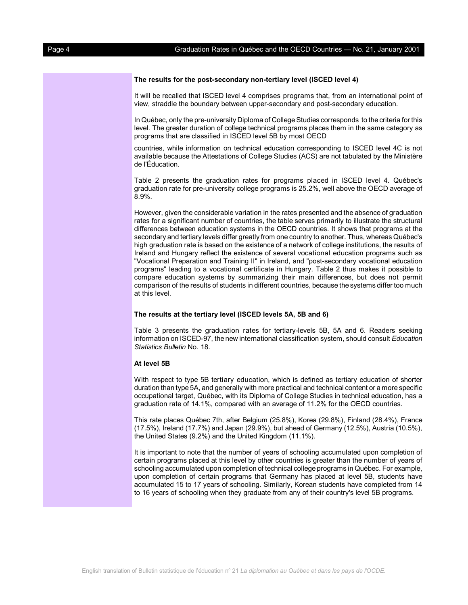#### **The results for the post-secondary non-tertiary level (ISCED level 4)**

It will be recalled that ISCED level 4 comprises programs that, from an international point of view, straddle the boundary between upper-secondary and post-secondary education.

In Québec, only the pre-university Diploma of College Studies corresponds to the criteria for this level. The greater duration of college technical programs places them in the same category as programs that are classified in ISCED level 5B by most OECD

countries, while information on technical education corresponding to ISCED level 4C is not available because the Attestations of College Studies (ACS) are not tabulated by the Ministère de l'Éducation.

Table 2 presents the graduation rates for programs placed in ISCED level 4. Québec's graduation rate for pre-university college programs is 25.2%, well above the OECD average of 8.9%.

However, given the considerable variation in the rates presented and the absence of graduation rates for a significant number of countries, the table serves primarily to illustrate the structural differences between education systems in the OECD countries. It shows that programs at the secondary and tertiary levels differ greatly from one country to another. Thus, whereas Québec's high graduation rate is based on the existence of a network of college institutions, the results of Ireland and Hungary reflect the existence of several vocational education programs such as "Vocational Preparation and Training II" in Ireland, and "post-secondary vocational education programs" leading to a vocational certificate in Hungary. Table 2 thus makes it possible to compare education systems by summarizing their main differences, but does not permit comparison of the results of students in different countries, because the systems differ too much at this level.

#### **The results at the tertiary level (ISCED levels 5A, 5B and 6)**

Table 3 presents the graduation rates for tertiary-levels 5B, 5A and 6. Readers seeking information on ISCED-97, the new international classification system, should consult *Education Statistics Bulletin* No. 18.

#### **At level 5B**

With respect to type 5B tertiary education, which is defined as tertiary education of shorter duration than type 5A, and generally with more practical and technical content or a more specific occupational target, Québec, with its Diploma of College Studies in technical education, has a graduation rate of 14.1%, compared with an average of 11.2% for the OECD countries.

This rate places Québec 7th, after Belgium (25.8%), Korea (29.8%), Finland (28.4%), France (17.5%), Ireland (17.7%) and Japan (29.9%), but ahead of Germany (12.5%), Austria (10.5%), the United States (9.2%) and the United Kingdom (11.1%).

It is important to note that the number of years of schooling accumulated upon completion of certain programs placed at this level by other countries is greater than the number of years of schooling accumulated upon completion of technical college programs in Québec. For example, upon completion of certain programs that Germany has placed at level 5B, students have accumulated 15 to 17 years of schooling. Similarly, Korean students have completed from 14 to 16 years of schooling when they graduate from any of their country's level 5B programs.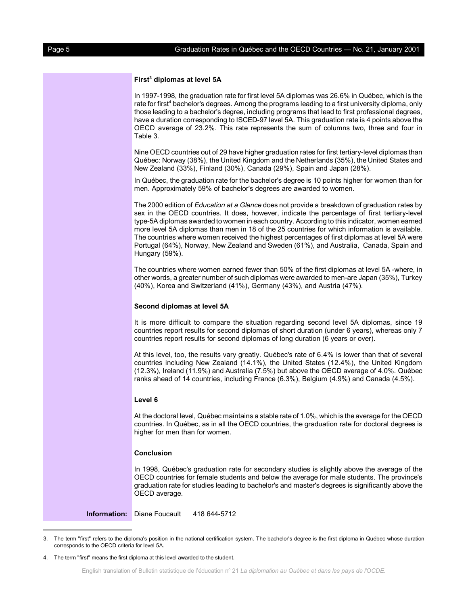#### **First3 diplomas at level 5A**

In 1997-1998, the graduation rate for first level 5A diplomas was 26.6% in Québec, which is the rate for first<sup>4</sup> bachelor's degrees. Among the programs leading to a first university diploma, only those leading to a bachelor's degree, including programs that lead to first professional degrees, have a duration corresponding to ISCED-97 level 5A. This graduation rate is 4 points above the OECD average of 23.2%. This rate represents the sum of columns two, three and four in Table 3.

Nine OECD countries out of 29 have higher graduation rates for first tertiary-level diplomas than Québec: Norway (38%), the United Kingdom and the Netherlands (35%), the United States and New Zealand (33%), Finland (30%), Canada (29%), Spain and Japan (28%).

In Québec, the graduation rate for the bachelor's degree is 10 points higher for women than for men. Approximately 59% of bachelor's degrees are awarded to women.

The 2000 edition of *Education at a Glance* does not provide a breakdown of graduation rates by sex in the OECD countries. It does, however, indicate the percentage of first tertiary-level type-5A diplomas awarded to women in each country. According to this indicator, women earned more level 5A diplomas than men in 18 of the 25 countries for which information is available. The countries where women received the highest percentages of first diplomas at level 5A were Portugal (64%), Norway, New Zealand and Sweden (61%), and Australia, Canada, Spain and Hungary (59%).

The countries where women earned fewer than 50% of the first diplomas at level 5A -where, in other words, a greater number of such diplomas were awarded to men-are Japan (35%), Turkey (40%), Korea and Switzerland (41%), Germany (43%), and Austria (47%).

#### **Second diplomas at level 5A**

It is more difficult to compare the situation regarding second level 5A diplomas, since 19 countries report results for second diplomas of short duration (under 6 years), whereas only 7 countries report results for second diplomas of long duration (6 years or over).

At this level, too, the results vary greatly. Québec's rate of 6.4% is lower than that of several countries including New Zealand (14.1%), the United States (12.4%), the United Kingdom (12.3%), Ireland (11.9%) and Australia (7.5%) but above the OECD average of 4.0%. Québec ranks ahead of 14 countries, including France (6.3%), Belgium (4.9%) and Canada (4.5%).

#### **Level 6**

At the doctoral level, Québec maintains a stable rate of 1.0%, which is the average for the OECD countries. In Québec, as in all the OECD countries, the graduation rate for doctoral degrees is higher for men than for women.

#### **Conclusion**

In 1998, Québec's graduation rate for secondary studies is slightly above the average of the OECD countries for female students and below the average for male students. The province's graduation rate for studies leading to bachelor's and master's degrees is significantly above the OECD average.

**Information:** Diane Foucault 418 644-5712

<sup>3.</sup> The term "first" refers to the diploma's position in the national certification system. The bachelor's degree is the first diploma in Québec whose duration corresponds to the OECD criteria for level 5A.

<sup>4.</sup> The term "first" means the first diploma at this level awarded to the student.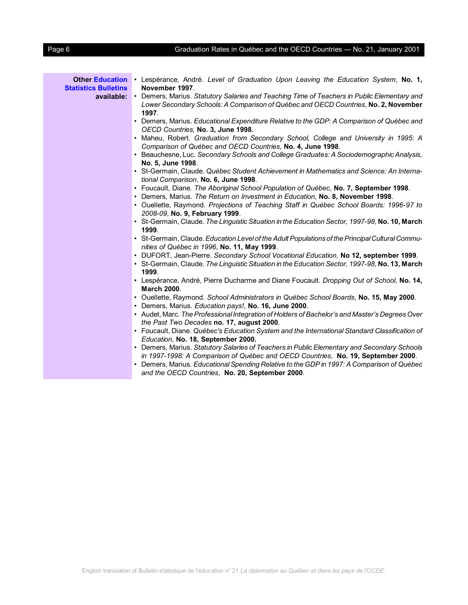# Page 6 Graduation Rates in Québec and the OECD Countries — No. 21, January 2001

| <b>Other Education</b><br><b>Statistics Bulletins</b> | . Lespérance, André. Level of Graduation Upon Leaving the Education System, No. 1,<br>November 1997.                                                                                                                                                                          |
|-------------------------------------------------------|-------------------------------------------------------------------------------------------------------------------------------------------------------------------------------------------------------------------------------------------------------------------------------|
| available:                                            | • Demers, Marius. Statutory Salaries and Teaching Time of Teachers in Public Elementary and<br>Lower Secondary Schools: A Comparison of Québec and OECD Countries, No. 2, November<br>1997.                                                                                   |
|                                                       | • Demers, Marius. Educational Expenditure Relative to the GDP: A Comparison of Québec and<br>OECD Countries, No. 3, June 1998.                                                                                                                                                |
|                                                       | • Maheu, Robert. Graduation from Secondary School, College and University in 1995: A<br>Comparison of Québec and OECD Countries, No. 4, June 1998.                                                                                                                            |
|                                                       | • Beauchesne, Luc. Secondary Schools and College Graduates: A Sociodemographic Analysis,<br>No. 5, June 1998.                                                                                                                                                                 |
|                                                       | • St-Germain, Claude. Québec Student Achievement in Mathematics and Science: An Interna-<br>tional Comparison, No. 6, June 1998.                                                                                                                                              |
|                                                       | . Foucault, Diane. The Aboriginal School Population of Québec, No. 7, September 1998.<br>. Demers, Marius. The Return on Investment in Education, No. 8, November 1998.                                                                                                       |
|                                                       | • Ouellette, Raymond. Projections of Teaching Staff in Québec School Boards: 1996-97 to<br>2008-09, No. 9, February 1999.                                                                                                                                                     |
|                                                       | • St-Germain, Claude. The Linguistic Situation in the Education Sector, 1997-98, No. 10, March<br>1999.                                                                                                                                                                       |
|                                                       | • St-Germain, Claude. Education Level of the Adult Populations of the Principal Cultural Commu-<br>nities of Québec in 1996, No. 11, May 1999.                                                                                                                                |
|                                                       | • DUFORT, Jean-Pierre. Secondary School Vocational Education, No 12, september 1999.<br>• St-Germain, Claude. The Linguistic Situation in the Education Sector, 1997-98, No. 13, March<br>1999.                                                                               |
|                                                       | • Lespérance, André, Pierre Ducharme and Diane Foucault. Dropping Out of School, No. 14,<br><b>March 2000.</b>                                                                                                                                                                |
|                                                       | . Ouellette, Raymond. School Administrators in Québec School Boards, No. 15, May 2000.<br>· Demers, Marius. Education pays!, No. 16, June 2000.                                                                                                                               |
|                                                       | • Audet, Marc. The Professional Integration of Holders of Bachelor's and Master's Degrees Over<br>the Past Two Decades no. 17, august 2000.                                                                                                                                   |
|                                                       | • Foucault, Diane. Québec's Education System and the International Standard Classification of<br>Education, No. 18, September 2000.                                                                                                                                           |
|                                                       | • Demers, Marius. Statutory Salaries of Teachers in Public Elementary and Secondary Schools<br>in 1997-1998: A Comparison of Québec and OECD Countries, No. 19, September 2000.<br>• Demers, Marius. Educational Spending Relative to the GDP in 1997: A Comparison of Québec |
|                                                       | and the OECD Countries, No. 20, September 2000.                                                                                                                                                                                                                               |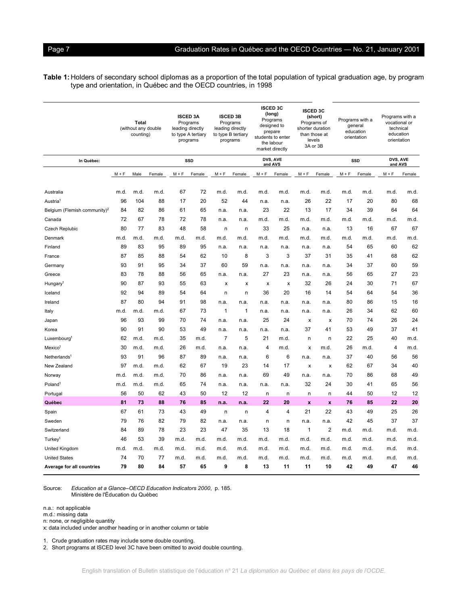### Page 7 Graduation Rates in Québec and the OECD Countries - No. 21, January 2001

**Table 1:** Holders of secondary school diplomas as a proportion of the total population of typical graduation age, by program type and orientation, in Québec and the OECD countries, in 1998

|                                          |         | Total<br>(without any double<br>counting) |        | leading directly | <b>ISCED 3A</b><br>Programs<br>to type A tertiary<br>programs |         | <b>ISCED 3B</b><br>Programs<br>leading directly<br>to type B tertiary<br>programs |                | <b>ISCED 3C</b><br>(long)<br>Programs<br>designed to<br>prepare<br>students to enter<br>the labour<br>market directly |                    | <b>ISCED 3C</b><br>(short)<br>Programs of<br>shorter duration<br>than those at<br>levels<br>3A or 3B |         | Programs with a<br>general<br>education<br>orientation | Programs with a<br>vocational or<br>technical<br>education<br>orientation |        |
|------------------------------------------|---------|-------------------------------------------|--------|------------------|---------------------------------------------------------------|---------|-----------------------------------------------------------------------------------|----------------|-----------------------------------------------------------------------------------------------------------------------|--------------------|------------------------------------------------------------------------------------------------------|---------|--------------------------------------------------------|---------------------------------------------------------------------------|--------|
| In Québec:                               |         |                                           |        | SSD              |                                                               |         | DVS, AVE<br>and AVS                                                               |                |                                                                                                                       |                    |                                                                                                      | SSD     |                                                        | DVS, AVE<br>and AVS                                                       |        |
|                                          | $M + F$ | Male                                      | Female | $M + F$          | Female                                                        | $M + F$ | Female                                                                            | $M + F$        | Female                                                                                                                | $M + F$            | Female                                                                                               | $M + F$ | Female                                                 | $M + F$                                                                   | Female |
| Australia                                | m.d.    | m.d.                                      | m.d.   | 67               | 72                                                            | m.d.    | m.d.                                                                              | m.d.           | m.d.                                                                                                                  | m.d.               | m.d.                                                                                                 | m.d.    | m.d.                                                   | m.d.                                                                      | m.d.   |
| Austria <sup>1</sup>                     | 96      | 104                                       | 88     | 17               | 20                                                            | 52      | 44                                                                                | n.a.           | n.a.                                                                                                                  | 26                 | 22                                                                                                   | 17      | 20                                                     | 80                                                                        | 68     |
| Belgium (Flemish community) <sup>2</sup> | 84      | 82                                        | 86     | 61               | 65                                                            | n.a.    | n.a.                                                                              | 23             | 22                                                                                                                    | 13                 | 17                                                                                                   | 34      | 39                                                     | 64                                                                        | 64     |
| Canada                                   | 72      | 67                                        | 78     | 72               | 78                                                            | n.a.    | n.a.                                                                              | m.d.           | m.d.                                                                                                                  | m.d.               | m.d.                                                                                                 | m.d.    | m.d.                                                   | m.d.                                                                      | m.d.   |
| <b>Czech Replubic</b>                    | 80      | 77                                        | 83     | 48               | 58                                                            | n       | n                                                                                 | 33             | 25                                                                                                                    | n.a.               | n.a.                                                                                                 | 13      | 16                                                     | 67                                                                        | 67     |
| Denmark                                  | m.d.    | m.d.                                      | m.d.   | m.d.             | m.d.                                                          | m.d.    | m.d.                                                                              | m.d.           | m.d.                                                                                                                  | m.d.               | m.d.                                                                                                 | m.d.    | m.d.                                                   | m.d.                                                                      | m.d.   |
| Finland                                  | 89      | 83                                        | 95     | 89               | 95                                                            | n.a.    | n.a.                                                                              | n.a.           | n.a.                                                                                                                  | n.a.               | n.a.                                                                                                 | 54      | 65                                                     | 60                                                                        | 62     |
| France                                   | 87      | 85                                        | 88     | 54               | 62                                                            | 10      | 8                                                                                 | 3              | 3                                                                                                                     | 37                 | 31                                                                                                   | 35      | 41                                                     | 68                                                                        | 62     |
| Germany                                  | 93      | 91                                        | 95     | 34               | 37                                                            | 60      | 59                                                                                | n.a.           | n.a.                                                                                                                  | n.a.               | n.a.                                                                                                 | 34      | 37                                                     | 60                                                                        | 59     |
| Greece                                   | 83      | 78                                        | 88     | 56               | 65                                                            | n.a.    | n.a.                                                                              | 27             | 23                                                                                                                    | n.a.               | n.a.                                                                                                 | 56      | 65                                                     | 27                                                                        | 23     |
| Hungary <sup>1</sup>                     | 90      | 87                                        | 93     | 55               | 63                                                            | x       | X                                                                                 | x              | $\pmb{\times}$                                                                                                        | 32                 | 26                                                                                                   | 24      | 30                                                     | 71                                                                        | 67     |
| Iceland                                  | 92      | 94                                        | 89     | 54               | 64                                                            | n       | n                                                                                 | 36             | 20                                                                                                                    | 16                 | 14                                                                                                   | 54      | 64                                                     | 54                                                                        | 36     |
| Ireland                                  | 87      | 80                                        | 94     | 91               | 98                                                            | n.a.    | n.a.                                                                              | n.a.           | n.a.                                                                                                                  | n.a.               | n.a.                                                                                                 | 80      | 86                                                     | 15                                                                        | 16     |
| Italy                                    | m.d.    | m.d.                                      | m.d.   | 67               | 73                                                            | 1       | 1                                                                                 | n.a.           | n.a.                                                                                                                  | n.a.               | n.a.                                                                                                 | 26      | 34                                                     | 62                                                                        | 60     |
| Japan                                    | 96      | 93                                        | 99     | 70               | 74                                                            | n.a.    | n.a.                                                                              | 25             | 24                                                                                                                    | $\pmb{\times}$     | X                                                                                                    | 70      | 74                                                     | 26                                                                        | 24     |
| Korea                                    | 90      | 91                                        | 90     | 53               | 49                                                            | n.a.    | n.a.                                                                              | n.a.           | n.a.                                                                                                                  | 37                 | 41                                                                                                   | 53      | 49                                                     | 37                                                                        | 41     |
| Luxembourg <sup>1</sup>                  | 62      | m.d.                                      | m.d.   | 35               | m.d.                                                          | 7       | 5                                                                                 | 21             | m.d.                                                                                                                  | n                  | n                                                                                                    | 22      | 25                                                     | 40                                                                        | m.d.   |
| Mexico <sup>1</sup>                      | 30      | m.d.                                      | m.d.   | 26               | m.d.                                                          | n.a.    | n.a.                                                                              | 4              | m.d.                                                                                                                  | x                  | m.d.                                                                                                 | 26      | m.d.                                                   | 4                                                                         | m.d.   |
| Netherlands <sup>1</sup>                 | 93      | 91                                        | 96     | 87               | 89                                                            | n.a.    | n.a.                                                                              | 6              | 6                                                                                                                     | n.a.               | n.a.                                                                                                 | 37      | 40                                                     | 56                                                                        | 56     |
| New Zealand                              | 97      | m.d.                                      | m.d.   | 62               | 67                                                            | 19      | 23                                                                                | 14             | 17                                                                                                                    | x                  | x                                                                                                    | 62      | 67                                                     | 34                                                                        | 40     |
| Norway                                   | m.d.    | m.d.                                      | m.d.   | 70               | 86                                                            | n.a.    | n.a.                                                                              | 69             | 49                                                                                                                    | n.a.               | n.a.                                                                                                 | 70      | 86                                                     | 68                                                                        | 49     |
| Poland <sup>1</sup>                      | m.d.    | m.d.                                      | m.d.   | 65               | 74                                                            | n.a.    | n.a.                                                                              | n.a.           | n.a.                                                                                                                  | 32                 | 24                                                                                                   | 30      | 41                                                     | 65                                                                        | 56     |
| Portugal                                 | 56      | 50                                        | 62     | 43               | 50                                                            | 12      | 12                                                                                | n              | n                                                                                                                     | n                  | n                                                                                                    | 44      | 50                                                     | 12                                                                        | 12     |
| Québec                                   | 81      | 73                                        | 88     | 76               | 85                                                            | n.a.    | n.a.                                                                              | 22             | 20                                                                                                                    | $\pmb{\mathsf{x}}$ | $\boldsymbol{\mathsf{x}}$                                                                            | 76      | 85                                                     | 22                                                                        | 20     |
| Spain                                    | 67      | 61                                        | 73     | 43               | 49                                                            | n       | n                                                                                 | $\overline{4}$ | $\overline{4}$                                                                                                        | 21                 | 22                                                                                                   | 43      | 49                                                     | 25                                                                        | 26     |
| Sweden                                   | 79      | 76                                        | 82     | 79               | 82                                                            | n.a.    | n.a.                                                                              | n              | n                                                                                                                     | n.a.               | n.a.                                                                                                 | 42      | 45                                                     | 37                                                                        | 37     |
| Switzerland                              | 84      | 89                                        | 78     | 23               | 23                                                            | 47      | 35                                                                                | 13             | 18                                                                                                                    | $\mathbf{1}$       | 2                                                                                                    | m.d.    | m.d.                                                   | m.d.                                                                      | m.d.   |
| Turkey <sup>1</sup>                      | 46      | 53                                        | 39     | m.d.             | m.d.                                                          | m.d.    | m.d.                                                                              | m.d.           | m.d.                                                                                                                  | m.d.               | m.d.                                                                                                 | m.d.    | m.d.                                                   | m.d.                                                                      | m.d.   |
| United Kingdom                           | m.d.    | m.d.                                      | m.d.   | m.d.             | m.d.                                                          | m.d.    | m.d.                                                                              | m.d.           | m.d.                                                                                                                  | m.d.               | m.d.                                                                                                 | m.d.    | m.d.                                                   | m.d.                                                                      | m.d.   |
| <b>United States</b>                     | 74      | 70                                        | 77     | m.d.             | m.d.                                                          | m.d.    | m.d.                                                                              | m.d.           | m.d.                                                                                                                  | m.d.               | m.d.                                                                                                 | m.d.    | m.d.                                                   | m.d.                                                                      | m.d.   |
| Average for all countries                | 79      | 80                                        | 84     | 57               | 65                                                            | 9       | 8                                                                                 | 13             | 11                                                                                                                    | 11                 | 10                                                                                                   | 42      | 49                                                     | 47                                                                        | 46     |

Source: *Education at a Glance–OECD Education Indicators 2000*, p. 185. Ministère de l'Éducation du Québec

n.a.: not applicable

m.d.: missing data

n: none, or negligible quantity

x: data included under another heading or in another column or table

1. Crude graduation rates may include some double counting.

2. Short programs at ISCED level 3C have been omitted to avoid double counting.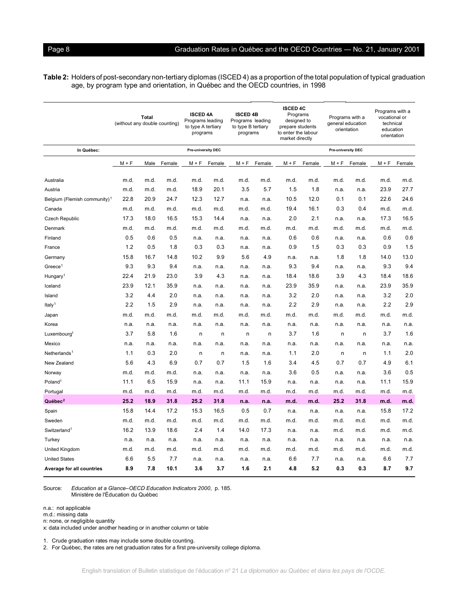## Page 8 **Exercise 2001** Graduation Rates in Québec and the OECD Countries — No. 21, January 2001

**Table 2:** Holders of post-secondary non-tertiary diplomas (ISCED 4) as a proportion of the total population of typical graduation age, by program type and orientation, in Québec and the OECD countries, in 1998

|                                          | Total<br>(without any double counting) |      | <b>ISCED 4A</b><br>Programs leading<br>to type A tertiary<br>programs |                           | <b>ISCED 4B</b><br>Programs leading<br>to type B tertiary<br>programs |       | <b>ISCED 4C</b><br>Programs<br>designed to<br>prepare students<br>to enter the labour<br>market directly |       | Programs with a<br>general education<br>orientation |                           | Programs with a<br>vocational or<br>technical<br>education<br>orientation |       |        |
|------------------------------------------|----------------------------------------|------|-----------------------------------------------------------------------|---------------------------|-----------------------------------------------------------------------|-------|----------------------------------------------------------------------------------------------------------|-------|-----------------------------------------------------|---------------------------|---------------------------------------------------------------------------|-------|--------|
| In Québec:                               |                                        |      |                                                                       | <b>Pre-university DEC</b> |                                                                       |       |                                                                                                          |       |                                                     | <b>Pre-university DEC</b> |                                                                           |       |        |
|                                          | $M + F$                                | Male | Female                                                                | $M + F$                   | Female                                                                | M + F | Female                                                                                                   | M + F | Female                                              | $M + F$                   | Female                                                                    | M + F | Female |
| Australia                                | m.d.                                   | m.d. | m.d.                                                                  | m.d.                      | m.d.                                                                  | m.d.  | m.d.                                                                                                     | m.d.  | m.d.                                                | m.d.                      | m.d.                                                                      | m.d.  | m.d.   |
| Austria                                  | m.d.                                   | m.d. | m.d.                                                                  | 18.9                      | 20.1                                                                  | 3.5   | 5.7                                                                                                      | 1.5   | 1.8                                                 | n.a.                      | n.a.                                                                      | 23.9  | 27.7   |
| Belgium (Flemish community) <sup>1</sup> | 22.8                                   | 20.9 | 24.7                                                                  | 12.3                      | 12.7                                                                  | n.a.  | n.a.                                                                                                     | 10.5  | 12.0                                                | 0.1                       | 0.1                                                                       | 22.6  | 24.6   |
| Canada                                   | m.d.                                   | m.d. | m.d.                                                                  | m.d.                      | m.d.                                                                  | m.d.  | m.d.                                                                                                     | 19.4  | 16.1                                                | 0.3                       | 0.4                                                                       | m.d.  | m.d.   |
| Czech Republic                           | 17.3                                   | 18.0 | 16.5                                                                  | 15.3                      | 14.4                                                                  | n.a.  | n.a.                                                                                                     | 2.0   | 2.1                                                 | n.a.                      | n.a.                                                                      | 17.3  | 16.5   |
| Denmark                                  | m.d.                                   | m.d. | m.d.                                                                  | m.d.                      | m.d.                                                                  | m.d.  | m.d.                                                                                                     | m.d.  | m.d.                                                | m.d.                      | m.d.                                                                      | m.d.  | m.d.   |
| Finland                                  | 0.5                                    | 0.6  | 0.5                                                                   | n.a.                      | n.a.                                                                  | n.a.  | n.a.                                                                                                     | 0.6   | 0.6                                                 | n.a.                      | n.a.                                                                      | 0.6   | 0.6    |
| France                                   | 1.2                                    | 0.5  | 1.8                                                                   | 0.3                       | 0.3                                                                   | n.a.  | n.a.                                                                                                     | 0.9   | 1.5                                                 | 0.3                       | 0.3                                                                       | 0.9   | 1.5    |
| Germany                                  | 15.8                                   | 16.7 | 14.8                                                                  | 10.2                      | 9.9                                                                   | 5.6   | 4.9                                                                                                      | n.a.  | n.a.                                                | 1.8                       | 1.8                                                                       | 14.0  | 13.0   |
| $G$ reece <sup>1</sup>                   | 9.3                                    | 9.3  | 9.4                                                                   | n.a.                      | n.a.                                                                  | n.a.  | n.a.                                                                                                     | 9.3   | 9.4                                                 | n.a.                      | n.a.                                                                      | 9.3   | 9.4    |
| Hungary <sup>1</sup>                     | 22.4                                   | 21.9 | 23.0                                                                  | 3.9                       | 4.3                                                                   | n.a.  | n.a.                                                                                                     | 18.4  | 18.6                                                | 3.9                       | 4.3                                                                       | 18.4  | 18.6   |
| Iceland                                  | 23.9                                   | 12.1 | 35.9                                                                  | n.a.                      | n.a.                                                                  | n.a.  | n.a.                                                                                                     | 23.9  | 35.9                                                | n.a.                      | n.a.                                                                      | 23.9  | 35.9   |
| Island                                   | 3.2                                    | 4.4  | 2.0                                                                   | n.a.                      | n.a.                                                                  | n.a.  | n.a.                                                                                                     | 3.2   | 2.0                                                 | n.a.                      | n.a.                                                                      | 3.2   | 2.0    |
| Italy <sup>1</sup>                       | 2.2                                    | 1.5  | 2.9                                                                   | n.a.                      | n.a.                                                                  | n.a.  | n.a.                                                                                                     | 2.2   | 2.9                                                 | n.a.                      | n.a.                                                                      | 2.2   | 2.9    |
| Japan                                    | m.d.                                   | m.d. | m.d.                                                                  | m.d.                      | m.d.                                                                  | m.d.  | m.d.                                                                                                     | m.d.  | m.d.                                                | m.d.                      | m.d.                                                                      | m.d.  | m.d.   |
| Korea                                    | n.a.                                   | n.a. | n.a.                                                                  | n.a.                      | n.a.                                                                  | n.a.  | n.a.                                                                                                     | n.a.  | n.a.                                                | n.a.                      | n.a.                                                                      | n.a.  | n.a.   |
| Luxembourg <sup>1</sup>                  | 3.7                                    | 5.8  | 1.6                                                                   | n                         | n                                                                     | n     | n                                                                                                        | 3.7   | 1.6                                                 | n                         | n                                                                         | 3.7   | 1.6    |
| Mexico                                   | n.a.                                   | n.a. | n.a.                                                                  | n.a.                      | n.a.                                                                  | n.a.  | n.a.                                                                                                     | n.a.  | n.a.                                                | n.a.                      | n.a.                                                                      | n.a.  | n.a.   |
| Netherlands <sup>1</sup>                 | 1.1                                    | 0.3  | 2.0                                                                   | n                         | n                                                                     | n.a.  | n.a.                                                                                                     | 1.1   | 2.0                                                 | n                         | n                                                                         | 1.1   | 2.0    |
| New Zealand                              | 5.6                                    | 4.3  | 6.9                                                                   | 0.7                       | 0.7                                                                   | 1.5   | 1.6                                                                                                      | 3.4   | 4.5                                                 | 0.7                       | 0.7                                                                       | 4.9   | 6.1    |
| Norway                                   | m.d.                                   | m.d. | m.d.                                                                  | n.a.                      | n.a.                                                                  | n.a.  | n.a.                                                                                                     | 3.6   | 0.5                                                 | n.a.                      | n.a.                                                                      | 3.6   | 0.5    |
| Poland <sup>1</sup>                      | 11.1                                   | 6.5  | 15.9                                                                  | n.a.                      | n.a.                                                                  | 11.1  | 15.9                                                                                                     | n.a.  | n.a.                                                | n.a.                      | n.a.                                                                      | 11.1  | 15.9   |
| Portugal                                 | m.d.                                   | m.d. | m.d.                                                                  | m.d.                      | m.d.                                                                  | m.d.  | m.d.                                                                                                     | m.d.  | m.d.                                                | m.d.                      | m.d.                                                                      | m.d.  | m.d.   |
| Québec <sup>2</sup>                      | 25.2                                   | 18.9 | 31.8                                                                  | 25.2                      | 31.8                                                                  | n.a.  | n.a.                                                                                                     | m.d.  | m.d.                                                | 25.2                      | 31.8                                                                      | m.d.  | m.d.   |
| Spain                                    | 15.8                                   | 14.4 | 17.2                                                                  | 15.3                      | 16,5                                                                  | 0.5   | 0.7                                                                                                      | n.a.  | n.a.                                                | n.a.                      | n.a.                                                                      | 15.8  | 17.2   |
| Sweden                                   | m.d.                                   | m.d. | m.d.                                                                  | m.d.                      | m.d.                                                                  | m.d.  | m.d.                                                                                                     | m.d.  | m.d.                                                | m.d.                      | m.d.                                                                      | m.d.  | m.d.   |
| Switzerland <sup>1</sup>                 | 16.2                                   | 13.9 | 18.6                                                                  | 2.4                       | 1.4                                                                   | 14.0  | 17.3                                                                                                     | n.a.  | n.a.                                                | m.d.                      | m.d.                                                                      | m.d.  | m.d.   |
| Turkey                                   | n.a.                                   | n.a. | n.a.                                                                  | n.a.                      | n.a.                                                                  | n.a.  | n.a.                                                                                                     | n.a.  | n.a.                                                | n.a.                      | n.a.                                                                      | n.a.  | n.a.   |
| United Kingdom                           | m.d.                                   | m.d. | m.d.                                                                  | m.d.                      | m.d.                                                                  | m.d.  | m.d.                                                                                                     | m.d.  | m.d.                                                | m.d.                      | m.d.                                                                      | m.d.  | m.d.   |
| <b>United States</b>                     | 6.6                                    | 5.5  | 7.7                                                                   | n.a.                      | n.a.                                                                  | n.a.  | n.a.                                                                                                     | 6.6   | 7.7                                                 | n.a.                      | n.a.                                                                      | 6.6   | 7.7    |
| Average for all countries                | 8.9                                    | 7.8  | 10.1                                                                  | 3.6                       | 3.7                                                                   | 1.6   | 2.1                                                                                                      | 4.8   | 5.2                                                 | 0.3                       | 0.3                                                                       | 8.7   | 9.7    |

Source: *Education at a Glance–OECD Education Indicators 2000*, p. 185. Ministère de l'Éducation du Québec

n.a.: not applicable

m.d.: missing data

n: none, or negligible quantity

x: data included under another heading or in another column or table

1. Crude graduation rates may include some double counting.

2. For Québec, the rates are net graduation rates for a first pre-university college diploma.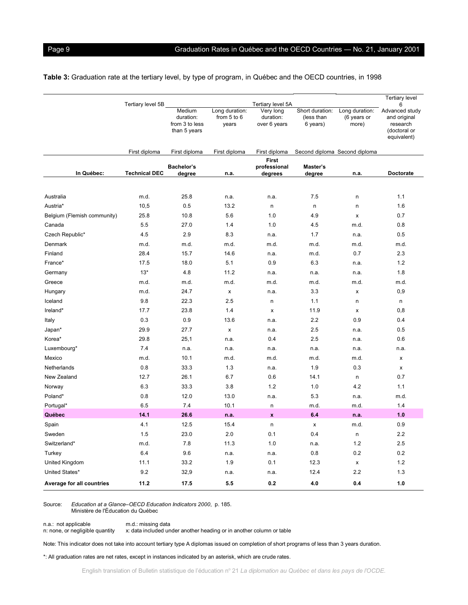## Page 9 **Example 2001** Graduation Rates in Québec and the OECD Countries — No. 21, January 2001

**Table 3:** Graduation rate at the tertiary level, by type of program, in Québec and the OECD countries, in 1998

|                             | Tertiary level 5B    | Medium                                      | Long duration:       | Tertiary level 5A<br>Short duration:    |                               |                                        |                                                                           |  |  |  |
|-----------------------------|----------------------|---------------------------------------------|----------------------|-----------------------------------------|-------------------------------|----------------------------------------|---------------------------------------------------------------------------|--|--|--|
|                             |                      | duration:<br>from 3 to less<br>than 5 years | from 5 to 6<br>years | Very long<br>duration:<br>over 6 years  | (less than<br>6 years)        | Long duration:<br>(6 years or<br>more) | Advanced study<br>and original<br>research<br>(doctoral or<br>equivalent) |  |  |  |
|                             | First diploma        | First diploma                               | First diploma        | First diploma                           | Second diploma Second diploma |                                        |                                                                           |  |  |  |
| In Québec:                  | <b>Technical DEC</b> | Bachelor's<br>degree                        | n.a.                 | <b>First</b><br>professional<br>degrees | Master's<br>degree            | n.a.                                   | Doctorate                                                                 |  |  |  |
|                             |                      |                                             |                      |                                         |                               |                                        |                                                                           |  |  |  |
| Australia                   | m.d.                 | 25.8                                        | n.a.                 | n.a.                                    | 7.5                           | n                                      | 1.1                                                                       |  |  |  |
| Austria*                    | 10,5                 | 0.5                                         | 13.2                 | n                                       | n                             | n                                      | 1.6                                                                       |  |  |  |
| Belgium (Flemish community) | 25.8                 | 10.8                                        | 5.6                  | 1.0                                     | 4.9                           | x                                      | 0.7                                                                       |  |  |  |
| Canada                      | 5.5                  | 27.0                                        | 1.4                  | 1.0                                     | 4.5                           | m.d.                                   | 0.8                                                                       |  |  |  |
| Czech Republic*             | 4.5                  | 2.9                                         | 8.3                  | n.a.                                    | 1.7                           | n.a.                                   | 0.5                                                                       |  |  |  |
| Denmark                     | m.d.                 | m.d.                                        | m.d.                 | m.d.                                    | m.d.                          | m.d.                                   | m.d.                                                                      |  |  |  |
| Finland                     | 28.4                 | 15.7                                        | 14.6                 | n.a.                                    | m.d.                          | 0.7                                    | 2.3                                                                       |  |  |  |
| France*                     | 17.5                 | 18.0                                        | 5.1                  | 0.9                                     | 6.3                           | n.a.                                   | 1.2                                                                       |  |  |  |
| Germany                     | $13*$                | 4.8                                         | 11.2                 | n.a.                                    | n.a.                          | n.a.                                   | 1.8                                                                       |  |  |  |
| Greece                      | m.d.                 | m.d.                                        | m.d.                 | m.d.                                    | m.d.                          | m.d.                                   | m.d.                                                                      |  |  |  |
| Hungary                     | m.d.                 | 24.7                                        | x                    | n.a.                                    | 3.3                           | x                                      | 0,9                                                                       |  |  |  |
| Iceland                     | 9.8                  | 22.3                                        | 2.5                  | n                                       | 1.1                           | n                                      | n                                                                         |  |  |  |
| Ireland*                    | 17.7                 | 23.8                                        | 1.4                  | x                                       | 11.9                          | x                                      | 0,8                                                                       |  |  |  |
| Italy                       | 0.3                  | 0.9                                         | 13.6                 | n.a.                                    | 2.2                           | 0.9                                    | 0.4                                                                       |  |  |  |
| Japan*                      | 29.9                 | 27.7                                        | x                    | n.a.                                    | 2.5                           | n.a.                                   | 0.5                                                                       |  |  |  |
| Korea*                      | 29.8                 | 25,1                                        | n.a.                 | 0.4                                     | 2.5                           | n.a.                                   | 0.6                                                                       |  |  |  |
| Luxembourg*                 | 7.4                  | n.a.                                        | n.a.                 | n.a.                                    | n.a.                          | n.a.                                   | n.a.                                                                      |  |  |  |
| Mexico                      | m.d.                 | 10.1                                        | m.d.                 | m.d.                                    | m.d.                          | m.d.                                   | x                                                                         |  |  |  |
| Netherlands                 | 0.8                  | 33.3                                        | 1.3                  | n.a.                                    | 1.9                           | 0.3                                    | x                                                                         |  |  |  |
| New Zealand                 | 12.7                 | 26.1                                        | 6.7                  | 0.6                                     | 14.1                          | n                                      | 0.7                                                                       |  |  |  |
| Norway                      | 6.3                  | 33.3                                        | 3.8                  | 1.2                                     | 1.0                           | 4.2                                    | 1.1                                                                       |  |  |  |
| Poland*                     | 0.8                  | 12.0                                        | 13.0                 | n.a.                                    | 5.3                           | n.a.                                   | m.d.                                                                      |  |  |  |
| Portugal*                   | 6.5                  | 7.4                                         | 10.1                 | n                                       | m.d.                          | m.d.                                   | 1.4                                                                       |  |  |  |
| Québec                      | 14.1                 | 26.6                                        | n.a.                 | $\pmb{\mathsf{x}}$                      | 6.4                           | n.a.                                   | 1.0                                                                       |  |  |  |
| Spain                       | 4.1                  | 12.5                                        | 15.4                 | n                                       | x                             | m.d.                                   | 0.9                                                                       |  |  |  |
| Sweden                      | 1.5                  | 23.0                                        | 2.0                  | 0.1                                     | 0.4                           | n                                      | 2.2                                                                       |  |  |  |
| Switzerland*                | m.d.                 | 7.8                                         | 11.3                 | 1.0                                     | n.a.                          | 1.2                                    | 2.5                                                                       |  |  |  |
| Turkey                      | 6.4                  | 9.6                                         | n.a.                 | n.a.                                    | 0.8                           | 0.2                                    | 0.2                                                                       |  |  |  |
| United Kingdom              | 11.1                 | 33.2                                        | 1.9                  | 0.1                                     | 12.3                          | x                                      | 1.2                                                                       |  |  |  |
| United States*              | 9.2                  | 32,9                                        | n.a.                 | n.a.                                    | 12.4                          | 2.2                                    | 1.3                                                                       |  |  |  |
| Average for all countries   | 11.2                 | 17.5                                        | 5.5                  | 0.2                                     | 4.0                           | 0.4                                    | 1.0                                                                       |  |  |  |

Source: *Education at a Glance–OECD Education Indicators 2000*, p. 185. Ministère de l'Éducation du Québec

n.a.: not applicable m.d.: missing data

n: none, or negligible quantity x: data included under another heading or in another column or table

Note: This indicator does not take into account tertiary type A diplomas issued on completion of short programs of less than 3 years duration.

\*: All graduation rates are net rates, except in instances indicated by an asterisk, which are crude rates.

English translation of Bulletin statistique de l'éducation nº 21 *La diplomation au Québec et dans les pays de l'OCDE*.